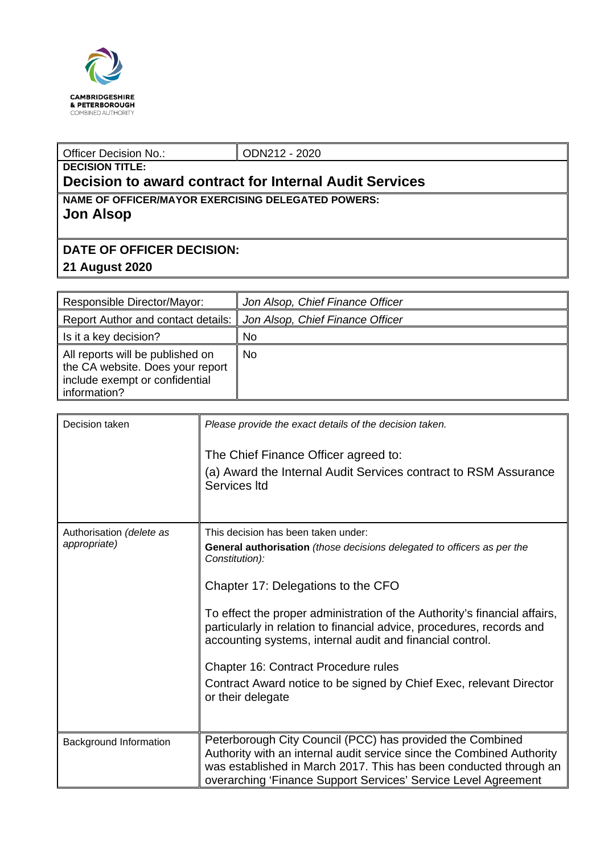

## Officer Decision No.: <br> ODN212 - 2020 **DECISION TITLE:**

## **Decision to award contract for Internal Audit Services**

**NAME OF OFFICER/MAYOR EXERCISING DELEGATED POWERS: Jon Alsop**

## **DATE OF OFFICER DECISION:**

## **21 August 2020**

| Responsible Director/Mayor:                                                                                            | Jon Alsop, Chief Finance Officer |
|------------------------------------------------------------------------------------------------------------------------|----------------------------------|
| Report Author and contact details:                                                                                     | Jon Alsop, Chief Finance Officer |
| Is it a key decision?                                                                                                  | No                               |
| All reports will be published on<br>the CA website. Does your report<br>include exempt or confidential<br>information? | No.                              |

| Decision taken           | Please provide the exact details of the decision taken.                                                                                                                                                                                                                   |  |  |
|--------------------------|---------------------------------------------------------------------------------------------------------------------------------------------------------------------------------------------------------------------------------------------------------------------------|--|--|
|                          | The Chief Finance Officer agreed to:                                                                                                                                                                                                                                      |  |  |
|                          | (a) Award the Internal Audit Services contract to RSM Assurance<br>Services Itd                                                                                                                                                                                           |  |  |
|                          |                                                                                                                                                                                                                                                                           |  |  |
| Authorisation (delete as | This decision has been taken under:                                                                                                                                                                                                                                       |  |  |
| appropriate)             | <b>General authorisation</b> (those decisions delegated to officers as per the<br>Constitution):                                                                                                                                                                          |  |  |
|                          | Chapter 17: Delegations to the CFO                                                                                                                                                                                                                                        |  |  |
|                          | To effect the proper administration of the Authority's financial affairs,<br>particularly in relation to financial advice, procedures, records and<br>accounting systems, internal audit and financial control.                                                           |  |  |
|                          | Chapter 16: Contract Procedure rules                                                                                                                                                                                                                                      |  |  |
|                          | Contract Award notice to be signed by Chief Exec, relevant Director<br>or their delegate                                                                                                                                                                                  |  |  |
|                          |                                                                                                                                                                                                                                                                           |  |  |
| Background Information   | Peterborough City Council (PCC) has provided the Combined<br>Authority with an internal audit service since the Combined Authority<br>was established in March 2017. This has been conducted through an<br>overarching 'Finance Support Services' Service Level Agreement |  |  |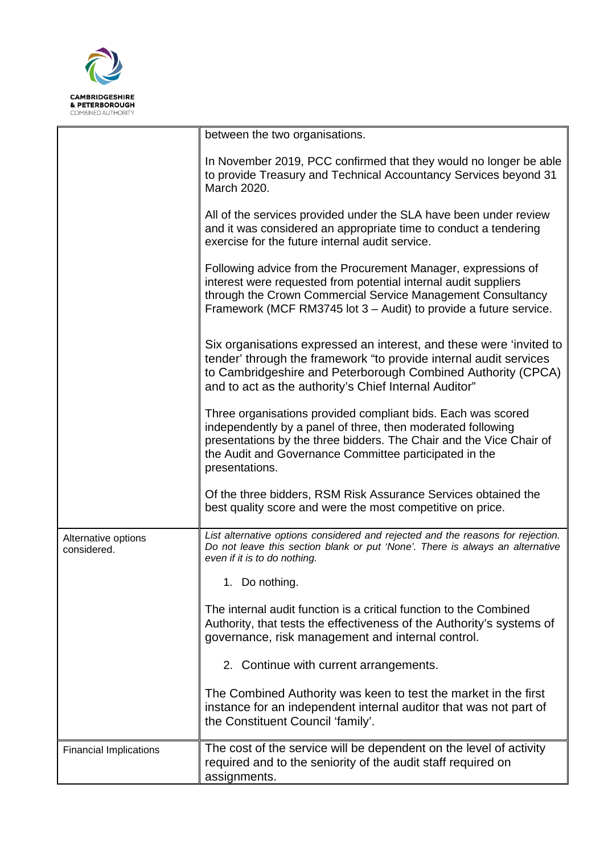

|                                    | between the two organisations.                                                                                                                                                                                                                                                 |
|------------------------------------|--------------------------------------------------------------------------------------------------------------------------------------------------------------------------------------------------------------------------------------------------------------------------------|
|                                    | In November 2019, PCC confirmed that they would no longer be able<br>to provide Treasury and Technical Accountancy Services beyond 31<br>March 2020.                                                                                                                           |
|                                    | All of the services provided under the SLA have been under review<br>and it was considered an appropriate time to conduct a tendering<br>exercise for the future internal audit service.                                                                                       |
|                                    | Following advice from the Procurement Manager, expressions of<br>interest were requested from potential internal audit suppliers<br>through the Crown Commercial Service Management Consultancy<br>Framework (MCF RM3745 lot 3 – Audit) to provide a future service.           |
|                                    | Six organisations expressed an interest, and these were 'invited to<br>tender' through the framework "to provide internal audit services<br>to Cambridgeshire and Peterborough Combined Authority (CPCA)<br>and to act as the authority's Chief Internal Auditor"              |
|                                    | Three organisations provided compliant bids. Each was scored<br>independently by a panel of three, then moderated following<br>presentations by the three bidders. The Chair and the Vice Chair of<br>the Audit and Governance Committee participated in the<br>presentations. |
|                                    | Of the three bidders, RSM Risk Assurance Services obtained the<br>best quality score and were the most competitive on price.                                                                                                                                                   |
| Alternative options<br>considered. | List alternative options considered and rejected and the reasons for rejection.<br>Do not leave this section blank or put 'None'. There is always an alternative<br>even if it is to do nothing.                                                                               |
|                                    | 1. Do nothing.                                                                                                                                                                                                                                                                 |
|                                    | The internal audit function is a critical function to the Combined<br>Authority, that tests the effectiveness of the Authority's systems of<br>governance, risk management and internal control.                                                                               |
|                                    | 2. Continue with current arrangements.                                                                                                                                                                                                                                         |
|                                    | The Combined Authority was keen to test the market in the first<br>instance for an independent internal auditor that was not part of<br>the Constituent Council 'family'.                                                                                                      |
| <b>Financial Implications</b>      | The cost of the service will be dependent on the level of activity<br>required and to the seniority of the audit staff required on<br>assignments.                                                                                                                             |